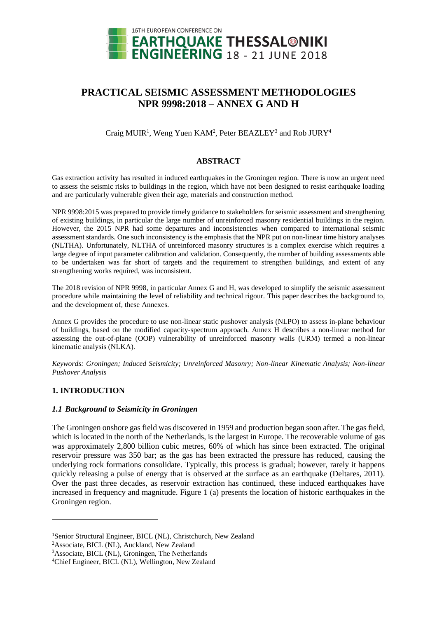

# **PRACTICAL SEISMIC ASSESSMENT METHODOLOGIES NPR 9998:2018 – ANNEX G AND H**

Craig MUIR<sup>1</sup>, Weng Yuen KAM<sup>2</sup>, Peter BEAZLEY<sup>3</sup> and Rob JURY<sup>4</sup>

# **ABSTRACT**

Gas extraction activity has resulted in induced earthquakes in the Groningen region. There is now an urgent need to assess the seismic risks to buildings in the region, which have not been designed to resist earthquake loading and are particularly vulnerable given their age, materials and construction method.

NPR 9998:2015 was prepared to provide timely guidance to stakeholders for seismic assessment and strengthening of existing buildings, in particular the large number of unreinforced masonry residential buildings in the region. However, the 2015 NPR had some departures and inconsistencies when compared to international seismic assessment standards. One such inconsistency is the emphasis that the NPR put on non-linear time history analyses (NLTHA). Unfortunately, NLTHA of unreinforced masonry structures is a complex exercise which requires a large degree of input parameter calibration and validation. Consequently, the number of building assessments able to be undertaken was far short of targets and the requirement to strengthen buildings, and extent of any strengthening works required, was inconsistent.

The 2018 revision of NPR 9998, in particular Annex G and H, was developed to simplify the seismic assessment procedure while maintaining the level of reliability and technical rigour. This paper describes the background to, and the development of, these Annexes.

Annex G provides the procedure to use non-linear static pushover analysis (NLPO) to assess in-plane behaviour of buildings, based on the modified capacity-spectrum approach. Annex H describes a non-linear method for assessing the out-of-plane (OOP) vulnerability of unreinforced masonry walls (URM) termed a non-linear kinematic analysis (NLKA).

*Keywords: Groningen; Induced Seismicity; Unreinforced Masonry; Non-linear Kinematic Analysis; Non-linear Pushover Analysis*

# **1. INTRODUCTION**

l

# *1.1 Background to Seismicity in Groningen*

The Groningen onshore gas field was discovered in 1959 and production began soon after. The gas field, which is located in the north of the Netherlands, is the largest in Europe. The recoverable volume of gas was approximately 2,800 billion cubic metres, 60% of which has since been extracted. The original reservoir pressure was 350 bar; as the gas has been extracted the pressure has reduced, causing the underlying rock formations consolidate. Typically, this process is gradual; however, rarely it happens quickly releasing a pulse of energy that is observed at the surface as an earthquake (Deltares, 2011). Over the past three decades, as reservoir extraction has continued, these induced earthquakes have increased in frequency and magnitude. Figure 1 (a) presents the location of historic earthquakes in the Groningen region.

<sup>1</sup>Senior Structural Engineer, BICL (NL), Christchurch, New Zealand

<sup>2</sup>Associate, BICL (NL), Auckland, New Zealand

<sup>3</sup>Associate, BICL (NL), Groningen, The Netherlands

<sup>4</sup>Chief Engineer, BICL (NL), Wellington, New Zealand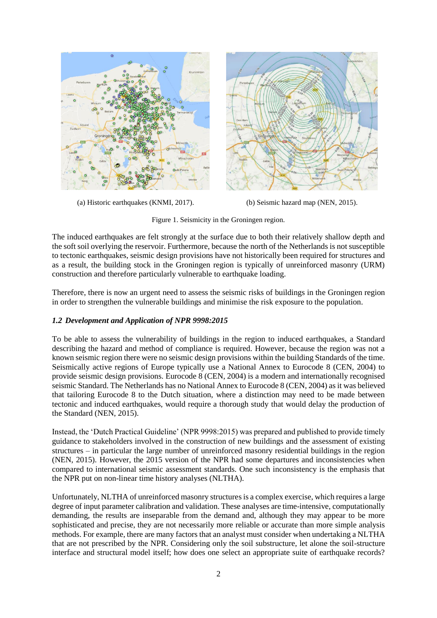

(a) Historic earthquakes (KNMI, 2017). (b) Seismic hazard map (NEN, 2015).

Figure 1. Seismicity in the Groningen region.

The induced earthquakes are felt strongly at the surface due to both their relatively shallow depth and the soft soil overlying the reservoir. Furthermore, because the north of the Netherlands is not susceptible to tectonic earthquakes, seismic design provisions have not historically been required for structures and as a result, the building stock in the Groningen region is typically of unreinforced masonry (URM) construction and therefore particularly vulnerable to earthquake loading.

Therefore, there is now an urgent need to assess the seismic risks of buildings in the Groningen region in order to strengthen the vulnerable buildings and minimise the risk exposure to the population.

# *1.2 Development and Application of NPR 9998:2015*

To be able to assess the vulnerability of buildings in the region to induced earthquakes, a Standard describing the hazard and method of compliance is required. However, because the region was not a known seismic region there were no seismic design provisions within the building Standards of the time. Seismically active regions of Europe typically use a National Annex to Eurocode 8 (CEN, 2004) to provide seismic design provisions. Eurocode 8 (CEN, 2004) is a modern and internationally recognised seismic Standard. The Netherlands has no National Annex to Eurocode 8 (CEN, 2004) as it was believed that tailoring Eurocode 8 to the Dutch situation, where a distinction may need to be made between tectonic and induced earthquakes, would require a thorough study that would delay the production of the Standard (NEN, 2015).

Instead, the 'Dutch Practical Guideline' (NPR 9998:2015) was prepared and published to provide timely guidance to stakeholders involved in the construction of new buildings and the assessment of existing structures – in particular the large number of unreinforced masonry residential buildings in the region (NEN, 2015). However, the 2015 version of the NPR had some departures and inconsistencies when compared to international seismic assessment standards. One such inconsistency is the emphasis that the NPR put on non-linear time history analyses (NLTHA).

Unfortunately, NLTHA of unreinforced masonry structures is a complex exercise, which requires a large degree of input parameter calibration and validation. These analyses are time-intensive, computationally demanding, the results are inseparable from the demand and, although they may appear to be more sophisticated and precise, they are not necessarily more reliable or accurate than more simple analysis methods. For example, there are many factors that an analyst must consider when undertaking a NLTHA that are not prescribed by the NPR. Considering only the soil substructure, let alone the soil-structure interface and structural model itself; how does one select an appropriate suite of earthquake records?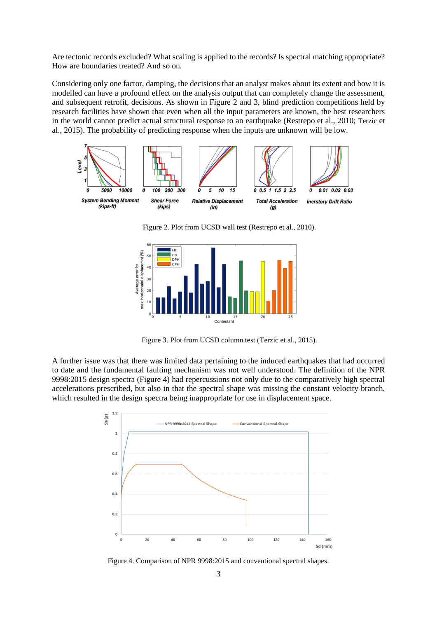Are tectonic records excluded? What scaling is applied to the records? Is spectral matching appropriate? How are boundaries treated? And so on.

Considering only one factor, damping, the decisions that an analyst makes about its extent and how it is modelled can have a profound effect on the analysis output that can completely change the assessment, and subsequent retrofit, decisions. As shown in Figure 2 and 3, blind prediction competitions held by research facilities have shown that even when all the input parameters are known, the best researchers in the world cannot predict actual structural response to an earthquake (Restrepo et al., 2010; Terzic et al., 2015). The probability of predicting response when the inputs are unknown will be low.



Figure 2. Plot from UCSD wall test (Restrepo et al., 2010).



Figure 3. Plot from UCSD column test (Terzic et al., 2015).

A further issue was that there was limited data pertaining to the induced earthquakes that had occurred to date and the fundamental faulting mechanism was not well understood. The definition of the NPR 9998:2015 design spectra (Figure 4) had repercussions not only due to the comparatively high spectral accelerations prescribed, but also in that the spectral shape was missing the constant velocity branch, which resulted in the design spectra being inappropriate for use in displacement space.



Figure 4. Comparison of NPR 9998:2015 and conventional spectral shapes.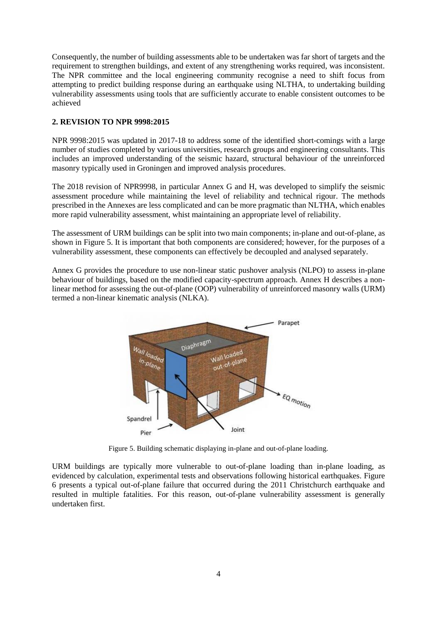Consequently, the number of building assessments able to be undertaken was far short of targets and the requirement to strengthen buildings, and extent of any strengthening works required, was inconsistent. The NPR committee and the local engineering community recognise a need to shift focus from attempting to predict building response during an earthquake using NLTHA, to undertaking building vulnerability assessments using tools that are sufficiently accurate to enable consistent outcomes to be achieved

# **2. REVISION TO NPR 9998:2015**

NPR 9998:2015 was updated in 2017-18 to address some of the identified short-comings with a large number of studies completed by various universities, research groups and engineering consultants. This includes an improved understanding of the seismic hazard, structural behaviour of the unreinforced masonry typically used in Groningen and improved analysis procedures.

The 2018 revision of NPR9998, in particular Annex G and H, was developed to simplify the seismic assessment procedure while maintaining the level of reliability and technical rigour. The methods prescribed in the Annexes are less complicated and can be more pragmatic than NLTHA, which enables more rapid vulnerability assessment, whist maintaining an appropriate level of reliability.

The assessment of URM buildings can be split into two main components; in-plane and out-of-plane, as shown in Figure 5. It is important that both components are considered; however, for the purposes of a vulnerability assessment, these components can effectively be decoupled and analysed separately.

Annex G provides the procedure to use non-linear static pushover analysis (NLPO) to assess in-plane behaviour of buildings, based on the modified capacity-spectrum approach. Annex H describes a nonlinear method for assessing the out-of-plane (OOP) vulnerability of unreinforced masonry walls (URM) termed a non-linear kinematic analysis (NLKA).



Figure 5. Building schematic displaying in-plane and out-of-plane loading.

URM buildings are typically more vulnerable to out-of-plane loading than in-plane loading, as evidenced by calculation, experimental tests and observations following historical earthquakes. Figure 6 presents a typical out-of-plane failure that occurred during the 2011 Christchurch earthquake and resulted in multiple fatalities. For this reason, out-of-plane vulnerability assessment is generally undertaken first.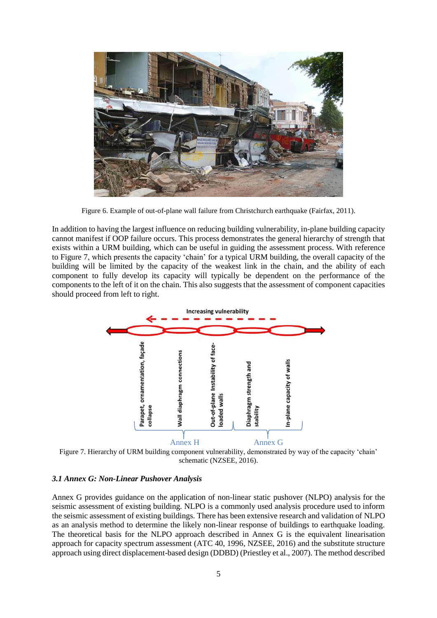

Figure 6. Example of out-of-plane wall failure from Christchurch earthquake (Fairfax, 2011).

In addition to having the largest influence on reducing building vulnerability, in-plane building capacity cannot manifest if OOP failure occurs. This process demonstrates the general hierarchy of strength that exists within a URM building, which can be useful in guiding the assessment process. With reference to Figure 7, which presents the capacity 'chain' for a typical URM building, the overall capacity of the building will be limited by the capacity of the weakest link in the chain, and the ability of each component to fully develop its capacity will typically be dependent on the performance of the components to the left of it on the chain. This also suggests that the assessment of component capacities should proceed from left to right.



Figure 7. Hierarchy of URM building component vulnerability, demonstrated by way of the capacity 'chain' schematic (NZSEE, 2016).

### *3.1 Annex G: Non-Linear Pushover Analysis*

Annex G provides guidance on the application of non-linear static pushover (NLPO) analysis for the seismic assessment of existing building. NLPO is a commonly used analysis procedure used to inform the seismic assessment of existing buildings. There has been extensive research and validation of NLPO as an analysis method to determine the likely non-linear response of buildings to earthquake loading. The theoretical basis for the NLPO approach described in Annex G is the equivalent linearisation approach for capacity spectrum assessment (ATC 40, 1996, NZSEE, 2016) and the substitute structure approach using direct displacement-based design (DDBD) (Priestley et al., 2007). The method described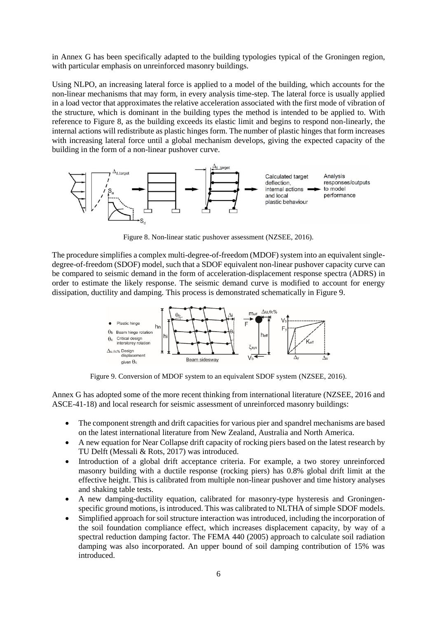in Annex G has been specifically adapted to the building typologies typical of the Groningen region, with particular emphasis on unreinforced masonry buildings.

Using NLPO, an increasing lateral force is applied to a model of the building, which accounts for the non-linear mechanisms that may form, in every analysis time-step. The lateral force is usually applied in a load vector that approximates the relative acceleration associated with the first mode of vibration of the structure, which is dominant in the building types the method is intended to be applied to. With reference to Figure 8, as the building exceeds its elastic limit and begins to respond non-linearly, the internal actions will redistribute as plastic hinges form. The number of plastic hinges that form increases with increasing lateral force until a global mechanism develops, giving the expected capacity of the building in the form of a non-linear pushover curve.



Figure 8. Non-linear static pushover assessment (NZSEE, 2016).

The procedure simplifies a complex multi-degree-of-freedom (MDOF) system into an equivalent singledegree-of-freedom (SDOF) model, such that a SDOF equivalent non-linear pushover capacity curve can be compared to seismic demand in the form of acceleration-displacement response spectra (ADRS) in order to estimate the likely response. The seismic demand curve is modified to account for energy dissipation, ductility and damping. This process is demonstrated schematically in Figure 9.



Figure 9. Conversion of MDOF system to an equivalent SDOF system (NZSEE, 2016).

Annex G has adopted some of the more recent thinking from international literature (NZSEE, 2016 and ASCE-41-18) and local research for seismic assessment of unreinforced masonry buildings:

- The component strength and drift capacities for various pier and spandrel mechanisms are based on the latest international literature from New Zealand, Australia and North America.
- A new equation for Near Collapse drift capacity of rocking piers based on the latest research by TU Delft (Messali & Rots, 2017) was introduced.
- Introduction of a global drift acceptance criteria. For example, a two storey unreinforced masonry building with a ductile response (rocking piers) has 0.8% global drift limit at the effective height. This is calibrated from multiple non-linear pushover and time history analyses and shaking table tests.
- A new damping-ductility equation, calibrated for masonry-type hysteresis and Groningenspecific ground motions, is introduced. This was calibrated to NLTHA of simple SDOF models.
- Simplified approach for soil structure interaction was introduced, including the incorporation of the soil foundation compliance effect, which increases displacement capacity, by way of a spectral reduction damping factor. The FEMA 440 (2005) approach to calculate soil radiation damping was also incorporated. An upper bound of soil damping contribution of 15% was introduced.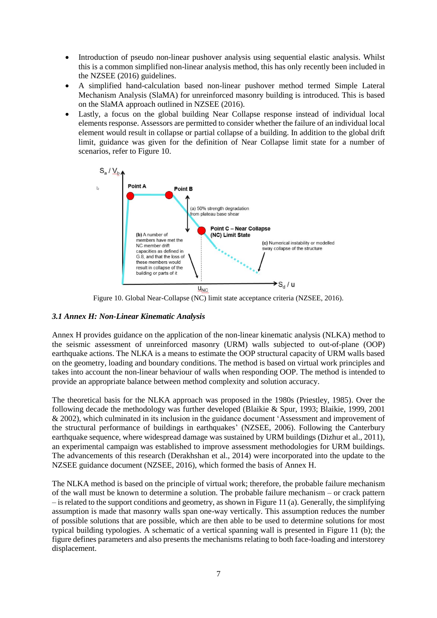- Introduction of pseudo non-linear pushover analysis using sequential elastic analysis. Whilst this is a common simplified non-linear analysis method, this has only recently been included in the NZSEE (2016) guidelines.
- A simplified hand-calculation based non-linear pushover method termed Simple Lateral Mechanism Analysis (SlaMA) for unreinforced masonry building is introduced. This is based on the SlaMA approach outlined in NZSEE (2016).
- Lastly, a focus on the global building Near Collapse response instead of individual local elements response. Assessors are permitted to consider whether the failure of an individual local element would result in collapse or partial collapse of a building. In addition to the global drift limit, guidance was given for the definition of Near Collapse limit state for a number of scenarios, refer to Figure 10.



Figure 10. Global Near-Collapse (NC) limit state acceptance criteria (NZSEE, 2016).

# *3.1 Annex H: Non-Linear Kinematic Analysis*

Annex H provides guidance on the application of the non-linear kinematic analysis (NLKA) method to the seismic assessment of unreinforced masonry (URM) walls subjected to out-of-plane (OOP) earthquake actions. The NLKA is a means to estimate the OOP structural capacity of URM walls based on the geometry, loading and boundary conditions. The method is based on virtual work principles and takes into account the non-linear behaviour of walls when responding OOP. The method is intended to provide an appropriate balance between method complexity and solution accuracy.

The theoretical basis for the NLKA approach was proposed in the 1980s (Priestley, 1985). Over the following decade the methodology was further developed (Blaikie & Spur, 1993; Blaikie, 1999, 2001 & 2002), which culminated in its inclusion in the guidance document 'Assessment and improvement of the structural performance of buildings in earthquakes' (NZSEE, 2006). Following the Canterbury earthquake sequence, where widespread damage was sustained by URM buildings (Dizhur et al., 2011), an experimental campaign was established to improve assessment methodologies for URM buildings. The advancements of this research (Derakhshan et al., 2014) were incorporated into the update to the NZSEE guidance document (NZSEE, 2016), which formed the basis of Annex H.

The NLKA method is based on the principle of virtual work; therefore, the probable failure mechanism of the wall must be known to determine a solution. The probable failure mechanism – or crack pattern  $-$  is related to the support conditions and geometry, as shown in Figure 11 (a). Generally, the simplifying assumption is made that masonry walls span one-way vertically. This assumption reduces the number of possible solutions that are possible, which are then able to be used to determine solutions for most typical building typologies. A schematic of a vertical spanning wall is presented in Figure 11 (b); the figure defines parameters and also presents the mechanisms relating to both face-loading and interstorey displacement.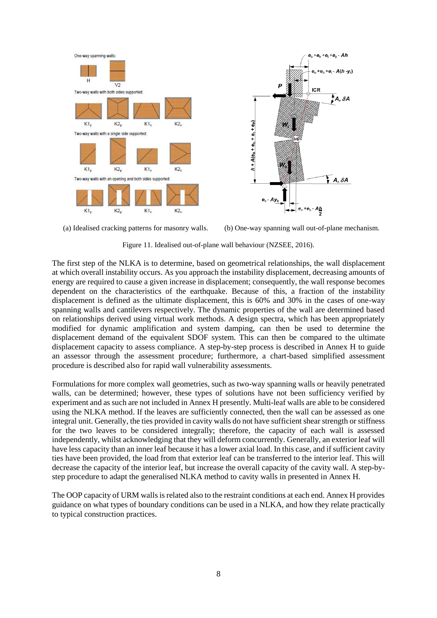

(a) Idealised cracking patterns for masonry walls. (b) One-way spanning wall out-of-plane mechanism.

Figure 11. Idealised out-of-plane wall behaviour (NZSEE, 2016).

The first step of the NLKA is to determine, based on geometrical relationships, the wall displacement at which overall instability occurs. As you approach the instability displacement, decreasing amounts of energy are required to cause a given increase in displacement; consequently, the wall response becomes dependent on the characteristics of the earthquake. Because of this, a fraction of the instability displacement is defined as the ultimate displacement, this is 60% and 30% in the cases of one-way spanning walls and cantilevers respectively. The dynamic properties of the wall are determined based on relationships derived using virtual work methods. A design spectra, which has been appropriately modified for dynamic amplification and system damping, can then be used to determine the displacement demand of the equivalent SDOF system. This can then be compared to the ultimate displacement capacity to assess compliance. A step-by-step process is described in Annex H to guide an assessor through the assessment procedure; furthermore, a chart-based simplified assessment procedure is described also for rapid wall vulnerability assessments.

Formulations for more complex wall geometries, such as two-way spanning walls or heavily penetrated walls, can be determined; however, these types of solutions have not been sufficiency verified by experiment and as such are not included in Annex H presently. Multi-leaf walls are able to be considered using the NLKA method. If the leaves are sufficiently connected, then the wall can be assessed as one integral unit. Generally, the ties provided in cavity walls do not have sufficient shear strength or stiffness for the two leaves to be considered integrally; therefore, the capacity of each wall is assessed independently, whilst acknowledging that they will deform concurrently. Generally, an exterior leaf will have less capacity than an inner leaf because it has a lower axial load. In this case, and if sufficient cavity ties have been provided, the load from that exterior leaf can be transferred to the interior leaf. This will decrease the capacity of the interior leaf, but increase the overall capacity of the cavity wall. A step-bystep procedure to adapt the generalised NLKA method to cavity walls in presented in Annex H.

The OOP capacity of URM walls is related also to the restraint conditions at each end. Annex H provides guidance on what types of boundary conditions can be used in a NLKA, and how they relate practically to typical construction practices.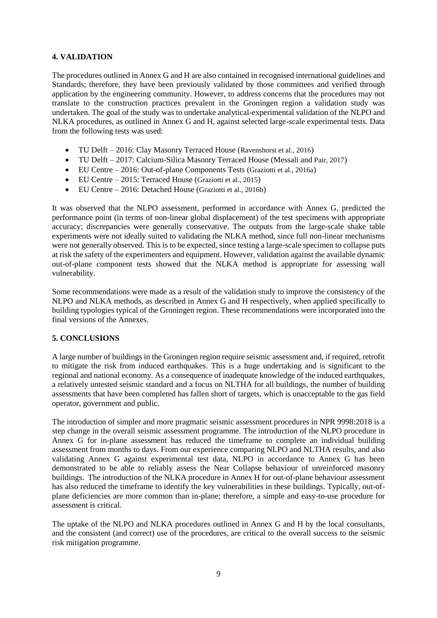# **4. VALIDATION**

The procedures outlined in Annex G and H are also contained in recognised international guidelines and Standards; therefore, they have been previously validated by those committees and verified through application by the engineering community. However, to address concerns that the procedures may not translate to the construction practices prevalent in the Groningen region a validation study was undertaken. The goal of the study was to undertake analytical-experimental validation of the NLPO and NLKA procedures, as outlined in Annex G and H, against selected large-scale experimental tests. Data from the following tests was used:

- TU Delft 2016: Clay Masonry Terraced House (Ravenshorst et al., 2016)
- TU Delft 2017: Calcium-Silica Masonry Terraced House (Messali and Pair, 2017)
- EU Centre 2016: Out-of-plane Components Tests (Graziotti et al., 2016a)
- EU Centre 2015: Terraced House (Graziotti et al., 2015)
- EU Centre 2016: Detached House (Graziotti et al., 2016b)

It was observed that the NLPO assessment, performed in accordance with Annex G, predicted the performance point (in terms of non-linear global displacement) of the test specimens with appropriate accuracy; discrepancies were generally conservative. The outputs from the large-scale shake table experiments were not ideally suited to validating the NLKA method, since full non-linear mechanisms were not generally observed. This is to be expected, since testing a large-scale specimen to collapse puts at risk the safety of the experimenters and equipment. However, validation against the available dynamic out-of-plane component tests showed that the NLKA method is appropriate for assessing wall vulnerability.

Some recommendations were made as a result of the validation study to improve the consistency of the NLPO and NLKA methods, as described in Annex G and H respectively, when applied specifically to building typologies typical of the Groningen region. These recommendations were incorporated into the final versions of the Annexes.

# **5. CONCLUSIONS**

A large number of buildings in the Groningen region require seismic assessment and, if required, retrofit to mitigate the risk from induced earthquakes. This is a huge undertaking and is significant to the regional and national economy. As a consequence of inadequate knowledge of the induced earthquakes, a relatively untested seismic standard and a focus on NLTHA for all buildings, the number of building assessments that have been completed has fallen short of targets, which is unacceptable to the gas field operator, government and public.

The introduction of simpler and more pragmatic seismic assessment procedures in NPR 9998:2018 is a step change in the overall seismic assessment programme. The introduction of the NLPO procedure in Annex G for in-plane assessment has reduced the timeframe to complete an individual building assessment from months to days. From our experience comparing NLPO and NLTHA results, and also validating Annex G against experimental test data, NLPO in accordance to Annex G has been demonstrated to be able to reliably assess the Near Collapse behaviour of unreinforced masonry buildings. The introduction of the NLKA procedure in Annex H for out-of-plane behaviour assessment has also reduced the timeframe to identify the key vulnerabilities in these buildings. Typically, out-ofplane deficiencies are more common than in-plane; therefore, a simple and easy-to-use procedure for assessment is critical.

The uptake of the NLPO and NLKA procedures outlined in Annex G and H by the local consultants, and the consistent (and correct) use of the procedures, are critical to the overall success to the seismic risk mitigation programme.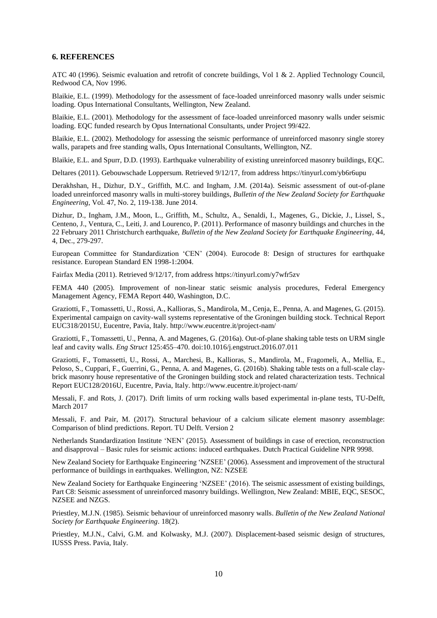#### **6. REFERENCES**

ATC 40 (1996). Seismic evaluation and retrofit of concrete buildings, Vol 1 & 2. Applied Technology Council, Redwood CA, Nov 1996.

Blaikie, E.L. (1999). Methodology for the assessment of face-loaded unreinforced masonry walls under seismic loading. Opus International Consultants, Wellington, New Zealand.

Blaikie, E.L. (2001). Methodology for the assessment of face-loaded unreinforced masonry walls under seismic loading. EQC funded research by Opus International Consultants, under Project 99/422.

Blaikie, E.L. (2002). Methodology for assessing the seismic performance of unreinforced masonry single storey walls, parapets and free standing walls, Opus International Consultants, Wellington, NZ.

Blaikie, E.L. and Spurr, D.D. (1993). Earthquake vulnerability of existing unreinforced masonry buildings, EQC.

Deltares (2011). Gebouwschade Loppersum. Retrieved 9/12/17, from address https://tinyurl.com/yb6r6upu

Derakhshan, H., Dizhur, D.Y., Griffith, M.C. and Ingham, J.M. (2014a). Seismic assessment of out-of-plane loaded unreinforced masonry walls in multi-storey buildings, *Bulletin of the New Zealand Society for Earthquake Engineering*, Vol. 47, No. 2, 119-138. June 2014.

Dizhur, D., Ingham, J.M., Moon, L., Griffith, M., Schultz, A., Senaldi, I., Magenes, G., Dickie, J., Lissel, S., Centeno, J., Ventura, C., Leiti, J. and Lourenco, P. (2011). Performance of masonry buildings and churches in the 22 February 2011 Christchurch earthquake, *Bulletin of the New Zealand Society for Earthquake Engineering*, 44, 4, Dec., 279-297.

European Committee for Standardization 'CEN' (2004). Eurocode 8: Design of structures for earthquake resistance. European Standard EN 1998-1:2004.

Fairfax Media (2011). Retrieved 9/12/17, from address https://tinyurl.com/y7wfr5zv

FEMA 440 (2005). Improvement of non-linear static seismic analysis procedures, Federal Emergency Management Agency, FEMA Report 440, Washington, D.C.

Graziotti, F., Tomassetti, U., Rossi, A., Kallioras, S., Mandirola, M., Cenja, E., Penna, A. and Magenes, G. (2015). Experimental campaign on cavity-wall systems representative of the Groningen building stock. Technical Report EUC318/2015U, Eucentre, Pavia, Italy. http://www.eucentre.it/project-nam/

Graziotti, F., Tomassetti, U., Penna, A. and Magenes, G. (2016a). Out-of-plane shaking table tests on URM single leaf and cavity walls. *Eng Struct* 125:455–470. doi:10.1016/j.engstruct.2016.07.011

Graziotti, F., Tomassetti, U., Rossi, A., Marchesi, B., Kallioras, S., Mandirola, M., Fragomeli, A., Mellia, E., Peloso, S., Cuppari, F., Guerrini, G., Penna, A. and Magenes, G. (2016b). Shaking table tests on a full-scale claybrick masonry house representative of the Groningen building stock and related characterization tests. Technical Report EUC128/2016U, Eucentre, Pavia, Italy. http://www.eucentre.it/project-nam/

Messali, F. and Rots, J. (2017). Drift limits of urm rocking walls based experimental in-plane tests, TU-Delft, March 2017

Messali, F. and Pair, M. (2017). Structural behaviour of a calcium silicate element masonry assemblage: Comparison of blind predictions. Report. TU Delft. Version 2

Netherlands Standardization Institute 'NEN' (2015). Assessment of buildings in case of erection, reconstruction and disapproval – Basic rules for seismic actions: induced earthquakes. Dutch Practical Guideline NPR 9998.

New Zealand Society for Earthquake Engineering 'NZSEE' (2006). Assessment and improvement of the structural performance of buildings in earthquakes. Wellington, NZ: NZSEE

New Zealand Society for Earthquake Engineering 'NZSEE' (2016). The seismic assessment of existing buildings, Part C8: Seismic assessment of unreinforced masonry buildings. Wellington, New Zealand: MBIE, EQC, SESOC, NZSEE and NZGS.

Priestley, M.J.N. (1985). Seismic behaviour of unreinforced masonry walls. *Bulletin of the New Zealand National Society for Earthquake Engineering*. 18(2).

Priestley, M.J.N., Calvi, G.M. and Kolwasky, M.J. (2007). Displacement-based seismic design of structures, IUSSS Press. Pavia, Italy.